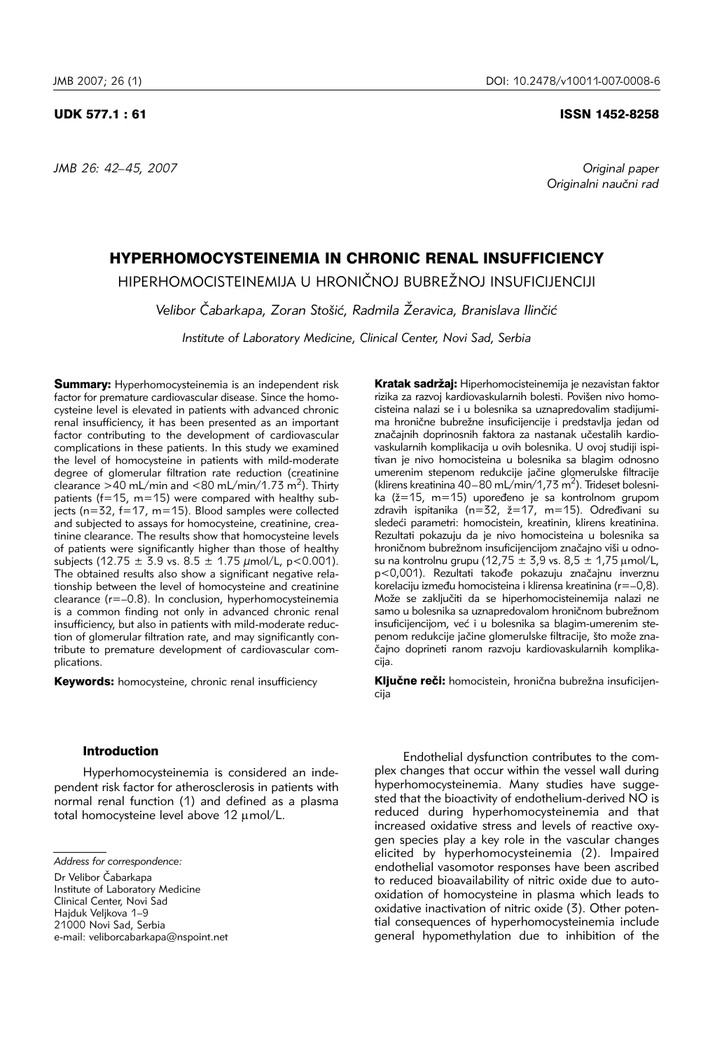*JMB 26: 42–45, 2007 Original paper* 

# UDK 577.1 : 61 ISSN 1452-8258

Originalni naučni rad

# HYPERHOMOCYSTEINEMIA IN CHRONIC RENAL INSUFFICIENCY

HIPERHOMOCISTEINEMIJA U HRONIČNOJ BUBREŽNOJ INSUFICIJENCIJI

Velibor Čabarkapa, Zoran Stošić, Radmila Žeravica, Branislava Ilinčić

*Institute of Laboratory Medicine, Clinical Center, Novi Sad, Serbia* 

**Summary:** Hyperhomocysteinemia is an independent risk factor for premature cardiovascular disease. Since the homocysteine level is elevated in patients with advanced chronic renal insufficiency, it has been presented as an important factor contributing to the development of cardiovascular complications in these patients. In this study we examined the level of homocysteine in patients with mild-moderate degree of glomerular filtration rate reduction (creatinine clearance  $>40$  mL/min and  $<80$  mL/min/1.73 m<sup>2</sup>). Thirty patients ( $f=15$ , m=15) were compared with healthy subjects (n=32, f=17, m=15). Blood samples were collected and subjected to assays for homocysteine, creatinine, creatinine clearance. The results show that homocysteine levels of patients were significantly higher than those of healthy subjects (12.75  $\pm$  3.9 vs. 8.5  $\pm$  1.75  $\mu$ mol/L, p<0.001). The obtained results also show a significant negative relationship between the level of homocysteine and creatinine clearance (r=–0.8). In conclusion, hyperhomocysteinemia is a common finding not only in advanced chronic renal insufficiency, but also in patients with mild-moderate reduction of glomerular filtration rate, and may significantly contribute to premature development of cardiovascular complications.

Keywords: homocysteine, chronic renal insufficiency

## Introduction

Hyperhomocysteinemia is considered an independent risk factor for atherosclerosis in patients with normal renal function (1) and defined as a plasma total homocysteine level above  $12 \mu$ mol/L.

Dr Velibor Čabarkapa Institute of Laboratory Medicine Clinical Center, Novi Sad Hajduk Veljkova 1–9 21000 Novi Sad, Serbia e-mail: veliborcabarkapa@nspoint.net

Kratak sadržaj: Hiperhomocisteinemija je nezavistan faktor rizika za razvoj kardiovaskularnih bolesti. Povišen nivo homocisteina nalazi se i u bolesnika sa uznapredovalim stadijumima hronične bubrežne insuficijencije i predstavlja jedan od značajnih doprinosnih faktora za nastanak učestalih kardiovaskularnih komplikacija u ovih bolesnika. U ovoj studiji ispitivan je nivo homocisteina u bolesnika sa blagim odnosno umerenim stepenom redukcije jačine glomerulske filtracije (klirens kreatinina 40–80 mL/min/1,73 m<sup>2</sup>). Trideset bolesnika ( $\zeta=15$ , m=15) upoređeno je sa kontrolnom grupom zdravih ispitanika ( $n=32$ ,  $\geq 17$ ,  $m=15$ ). Određivani su sledeći parametri: homocistein, kreatinin, klirens kreatinina. Rezultati pokazuju da je nivo homocisteina u bolesnika sa hroničnom bubrežnom insuficijencijom značajno viši u odnosu na kontrolnu grupu (12,75  $\pm$  3,9 vs. 8,5  $\pm$  1,75  $\mu$ mol/L, p<0,001). Rezultati takođe pokazuju značajnu inverznu korelaciju između homocisteina i klirensa kreatinina (r=–0,8). Može se zaključiti da se hiperhomocisteinemija nalazi ne samo u bolesnika sa uznapredovalom hroničnom bubrežnom insuficijencijom, već i u bolesnika sa blagim-umerenim stepenom redukcije jačine glomerulske filtracije, što može značajno doprineti ranom razvoju kardiovaskularnih komplikacija.

Ključne reči: homocistein, hronična bubrežna insuficijencija

Endothelial dysfunction contributes to the complex changes that occur within the vessel wall during hyperhomocysteinemia. Many studies have suggested that the bioactivity of endothelium-derived NO is reduced during hyperhomocysteinemia and that increased oxidative stress and levels of reactive oxygen species play a key role in the vascular changes elicited by hyperhomocysteinemia (2). Impaired endothelial vasomotor responses have been ascribed to reduced bioavailability of nitric oxide due to autooxidation of homocysteine in plasma which leads to oxidative inactivation of nitric oxide (3). Other potential consequences of hyperhomocysteinemia include general hypomethylation due to inhibition of the

*Address for correspondence:*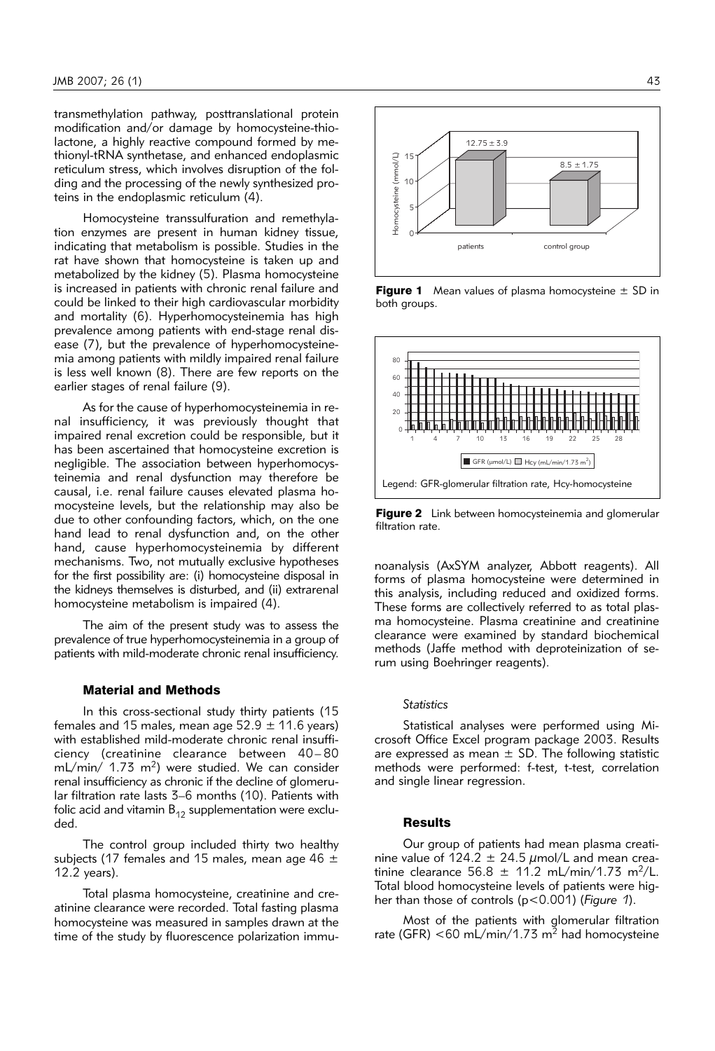transmethylation pathway, posttranslational protein modification and/or damage by homocysteine-thiolactone, a highly reactive compound formed by methionyl-tRNA synthetase, and enhanced endoplasmic reticulum stress, which involves disruption of the folding and the processing of the newly synthesized proteins in the endoplasmic reticulum (4).

Homocysteine transsulfuration and remethylation enzymes are present in human kidney tissue, indicating that metabolism is possible. Studies in the rat have shown that homocysteine is taken up and metabolized by the kidney (5). Plasma homocysteine is increased in patients with chronic renal failure and could be linked to their high cardiovascular morbidity and mortality (6). Hyperhomocysteinemia has high prevalence among patients with end-stage renal disease (7), but the prevalence of hyperhomocysteinemia among patients with mildly impaired renal failure is less well known (8). There are few reports on the earlier stages of renal failure (9).

As for the cause of hyperhomocysteinemia in renal insufficiency, it was previously thought that impaired renal excretion could be responsible, but it has been ascertained that homocysteine excretion is negligible. The association between hyperhomocysteinemia and renal dysfunction may therefore be causal, i.e. renal failure causes elevated plasma homocysteine levels, but the relationship may also be due to other confounding factors, which, on the one hand lead to renal dysfunction and, on the other hand, cause hyperhomocysteinemia by different mechanisms. Two, not mutually exclusive hypotheses for the first possibility are: (i) homocysteine disposal in the kidneys themselves is disturbed, and (ii) extrarenal homocysteine metabolism is impaired (4).

The aim of the present study was to assess the prevalence of true hyperhomocysteinemia in a group of patients with mild-moderate chronic renal insufficiency.

## Material and Methods

In this cross-sectional study thirty patients (15 females and 15 males, mean age  $52.9 \pm 11.6$  years) with established mild-moderate chronic renal insufficiency (creatinine clearance between 40– 80 mL/min/ 1.73 m<sup>2</sup>) were studied. We can consider renal insufficiency as chronic if the decline of glomerular filtration rate lasts 3–6 months (10). Patients with folic acid and vitamin  $B_{12}$  supplementation were excluded.

The control group included thirty two healthy subjects (17 females and 15 males, mean age 46  $\pm$ 12.2 years).

Total plasma homocysteine, creatinine and creatinine clearance were recorded. Total fasting plasma homocysteine was measured in samples drawn at the time of the study by fluorescence polarization immu-



**Figure 1** Mean values of plasma homocysteine  $\pm$  SD in both groups.



Figure 2 Link between homocysteinemia and glomerular filtration rate.

noanalysis (AxSYM analyzer, Abbott reagents). All forms of plasma homocysteine were determined in this analysis, including reduced and oxidized forms. These forms are collectively referred to as total plasma homocysteine. Plasma creatinine and creatinine clearance were examined by standard biochemical methods (Jaffe method with deproteinization of serum using Boehringer reagents).

#### *Statistics*

Statistical analyses were performed using Microsoft Office Excel program package 2003. Results are expressed as mean  $\pm$  SD. The following statistic methods were performed: f-test, t-test, correlation and single linear regression.

#### **Results**

Our group of patients had mean plasma creatinine value of 124.2  $\pm$  24.5  $\mu$ mol/L and mean creatinine clearance 56.8  $\pm$  11.2 mL/min/1.73 m<sup>2</sup>/L. Total blood homocysteine levels of patients were higher than those of controls (p<0.001) (*Figure 1*).

Most of the patients with glomerular filtration rate (GFR)  $<$  60 mL/min/1.73 m<sup>2</sup> had homocysteine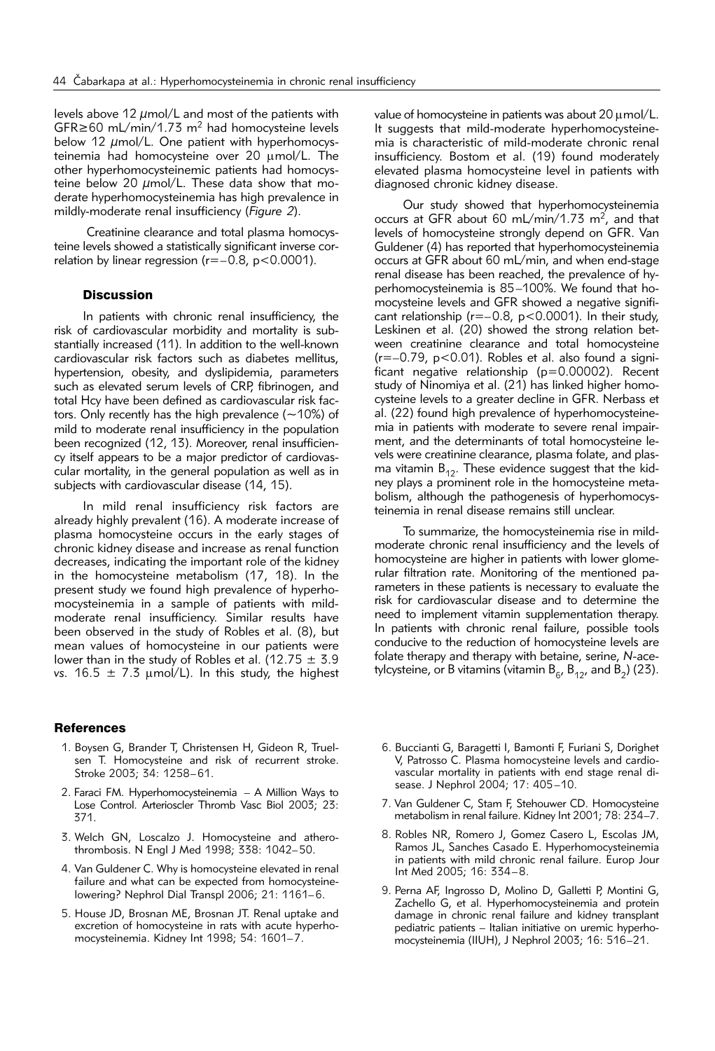levels above 12 μmol/L and most of the patients with GFR≥60 mL/min/1.73 m<sup>2</sup> had homocysteine levels below 12 μmol/L. One patient with hyperhomocysteinemia had homocysteine over 20  $\mu$ mol/L. The other hyperhomocysteinemic patients had homocysteine below 20  $\mu$ mol/L. These data show that moderate hyperhomocysteinemia has high prevalence in mildly-moderate renal insufficiency (*Figure 2*).

Creatinine clearance and total plasma homocysteine levels showed a statistically significant inverse correlation by linear regression ( $r=-0.8$ ,  $p<0.0001$ ).

# **Discussion**

In patients with chronic renal insufficiency, the risk of cardiovascular morbidity and mortality is substantially increased (11). In addition to the well-known cardiovascular risk factors such as diabetes mellitus, hypertension, obesity, and dyslipidemia, parameters such as elevated serum levels of CRP, fibrinogen, and total Hcy have been defined as cardiovascular risk factors. Only recently has the high prevalence (∼10%) of mild to moderate renal insufficiency in the population been recognized (12, 13). Moreover, renal insufficiency itself appears to be a major predictor of cardiovascular mortality, in the general population as well as in subjects with cardiovascular disease (14, 15).

In mild renal insufficiency risk factors are already highly prevalent (16). A moderate increase of plasma homocysteine occurs in the early stages of chronic kidney disease and increase as renal function decreases, indicating the important role of the kidney in the homocysteine metabolism (17, 18). In the present study we found high prevalence of hyperhomocysteinemia in a sample of patients with mildmoderate renal insufficiency. Similar results have been observed in the study of Robles et al. (8), but mean values of homocysteine in our patients were lower than in the study of Robles et al. (12.75  $\pm$  3.9 *vs.* 16.5  $\pm$  7.3  $\mu$ mol/L). In this study, the highest

#### **References**

- 1. Boysen G, Brander T, Christensen H, Gideon R, Truelsen T. Homocysteine and risk of recurrent stroke. Stroke 2003; 34: 1258–61.
- 2. Faraci FM. Hyperhomocysteinemia A Million Ways to Lose Control. Arterioscler Thromb Vasc Biol 2003; 23: 371.
- 3. Welch GN, Loscalzo J. Homocysteine and atherothrombosis. N Engl J Med 1998; 338: 1042–50.
- 4. Van Guldener C. Why is homocysteine elevated in renal failure and what can be expected from homocysteinelowering? Nephrol Dial Transpl 2006; 21: 1161–6.
- 5. House JD, Brosnan ME, Brosnan JT. Renal uptake and excretion of homocysteine in rats with acute hyperhomocysteinemia. Kidney Int 1998; 54: 1601–7.

value of homocysteine in patients was about 20  $\mu$ mol/L. It suggests that mild-moderate hyperhomocysteinemia is characteristic of mild-moderate chronic renal insufficiency. Bostom et al. (19) found moderately elevated plasma homocysteine level in patients with diagnosed chronic kidney disease.

Our study showed that hyperhomocysteinemia occurs at GFR about 60 mL/min/1.73 m<sup>2</sup>, and that levels of homocysteine strongly depend on GFR. Van Guldener (4) has reported that hyperhomocysteinemia occurs at GFR about 60 mL/min, and when end-stage renal disease has been reached, the prevalence of hyperhomocysteinemia is 85–100%. We found that homocysteine levels and GFR showed a negative significant relationship (r=–0.8, p<0.0001). In their study, Leskinen et al. (20) showed the strong relation between creatinine clearance and total homocysteine  $(r=-0.79, p<0.01)$ . Robles et al. also found a significant negative relationship (p=0.00002). Recent study of Ninomiya et al. (21) has linked higher homocysteine levels to a greater decline in GFR. Nerbass et al. (22) found high prevalence of hyperhomocysteinemia in patients with moderate to severe renal impairment, and the determinants of total homocysteine levels were creatinine clearance, plasma folate, and plasma vitamin  $B_{12}$ . These evidence suggest that the kidney plays a prominent role in the homocysteine metabolism, although the pathogenesis of hyperhomocysteinemia in renal disease remains still unclear.

To summarize, the homocysteinemia rise in mildmoderate chronic renal insufficiency and the levels of homocysteine are higher in patients with lower glomerular filtration rate. Monitoring of the mentioned parameters in these patients is necessary to evaluate the risk for cardiovascular disease and to determine the need to implement vitamin supplementation therapy. In patients with chronic renal failure, possible tools conducive to the reduction of homocysteine levels are folate therapy and therapy with betaine, serine, *N*-acetylcysteine, or B vitamins (vitamin  $B_{6}$ ,  $B_{12}$ , and  $B_{2}$ ) (23).

- 6. Buccianti G, Baragetti I, Bamonti F, Furiani S, Dorighet V, Patrosso C. Plasma homocysteine levels and cardiovascular mortality in patients with end stage renal disease. J Nephrol 2004; 17: 405–10.
- 7. Van Guldener C, Stam F, Stehouwer CD. Homocysteine metabolism in renal failure. Kidney Int 2001; 78: 234–7.
- 8. Robles NR, Romero J, Gomez Casero L, Escolas JM, Ramos JL, Sanches Casado E. Hyperhomocysteinemia in patients with mild chronic renal failure. Europ Jour Int Med 2005; 16: 334–8.
- 9. Perna AF, Ingrosso D, Molino D, Galletti P, Montini G, Zachello G, et al. Hyperhomocysteinemia and protein damage in chronic renal failure and kidney transplant pediatric patients – Italian initiative on uremic hyperhomocysteinemia (IIUH), J Nephrol 2003; 16: 516–21.